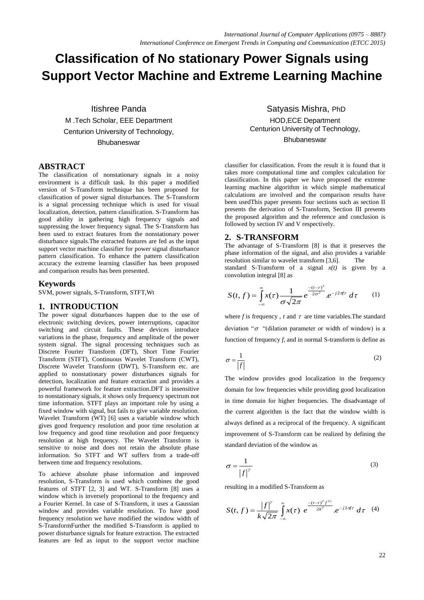# **Classification of No stationary Power Signals using Support Vector Machine and Extreme Learning Machine**

Itishree Panda M .Tech Scholar, EEE Department Centurion University of Technology, **Bhubaneswar** 

#### **ABSTRACT**

The classification of nonstationary signals in a noisy environment is a difficult task. In this paper a modified version of S-Transform technique has been proposed for classification of power signal disturbances. The S-Transform is a signal processing technique which is used for visual localization, detection, pattern classification. S-Transform has good ability in gathering high frequency signals and suppressing the lower frequency signal. The S-Transform has been used to extract features from the nonstationary power disturbance signals.The extracted features are fed as the input support vector machine classifier for power signal disturbance pattern classification. To enhance the pattern classification accuracy the extreme learning classifier has been proposed and comparison results has been presented.

#### **Keywords**

SVM, power signals, S-Transform, STFT,Wt

#### **1. INTRODUCTION**

The power signal disturbances happen due to the use of electronic switching devices, power interruptions, capacitor switching and circuit faults. These devices introduce variations in the phase, frequency and amplitude of the power system signal. The signal processing techniques such as Discrete Fourier Transform (DFT), Short Time Fourier Transform (STFT), Continuous Wavelet Transform (CWT), Discrete Wavelet Transform (DWT), S-Transform etc. are applied to nonstationary power disturbances signals for detection, localization and feature extraction and provides a powerful framework for feature extraction.DFT is insensitive to nonstationary signals, it shows only frequency spectrum not time information. STFT plays an important role by using a fixed window with signal, but fails to give variable resolution. Wavelet Transform (WT) [6] uses a variable window which gives good frequency resolution and poor time resolution at low frequency and good time resolution and poor frequency resolution at high frequency. The Wavelet Transform is sensitive to noise and does not retain the absolute phase information. So STFT and WT suffers from a trade-off between time and frequency resolutions.

To achieve absolute phase information and improved resolution, S-Transform is used which combines the good features of STFT [2, 3] and WT. S-Transform [8] uses a window which is inversely proportional to the frequency and a Fourier Kernel. In case of S-Transform, it uses a Gaussian window and provides variable resolution. To have good frequency resolution we have modified the window width of S-TransformFurther the modified S-Transform is applied to power disturbance signals for feature extraction. The extracted features are fed as input to the support vector machine

Satyasis Mishra, PhD HOD,ECE Department Centurion University of Technology, **Bhubaneswar** 

classifier for classification. From the result it is found that it takes more computational time and complex calculation for classification. In this paper we have proposed the extreme learning machine algorithm in which simple mathematical calculations are involved and the comparison results have been usedThis paper presents four sections such as section II presents the derivation of S-Transform, Section III presents the proposed algorithm and the reference and conclusion is followed by section IV and V respectively.

#### **2. S-TRANSFORM**

The advantage of S-Transform [8] is that it preserves the phase information of the signal, and also provides a variable resolution similar to wavelet transform [3,6]. The

standard S-Transform of a signal  $x(t)$  is given by a convolution integral [8] as

$$
S(t,f) = \int_{-\infty}^{\infty} x(\tau) \frac{1}{\sigma \sqrt{2\pi}} e^{-\frac{-(t-\tau)^2}{2\sigma^2}} e^{-j2\pi f \tau} d\tau \qquad (1)
$$

where  $f$  is frequency,  $t$  and  $\tau$  are time variables. The standard deviation " $\sigma$  "(dilation parameter or width of window) is a function of frequency *f*, and in normal S-transform is define as

$$
\sigma = \frac{1}{|f|} \tag{2}
$$

The window provides good localization in the frequency domain for low frequencies while providing good localization in time domain for higher frequencies. The disadvantage of the current algorithm is the fact that the window width is always defined as a reciprocal of the frequency. A significant improvement of S-Transform can be realized by defining the standard deviation of the window as

$$
\sigma = \frac{1}{|f|^\gamma} \tag{3}
$$

resulting in a modified S-Transform as

$$
S(t,f) = \frac{|f|^{y}}{k\sqrt{2\pi}} \int_{-\infty}^{\infty} x(\tau) e^{-\frac{-(t-\tau)^{2}f^{2\gamma}}{2k^{2}}} e^{-j2\pi f\tau} d\tau
$$
 (4)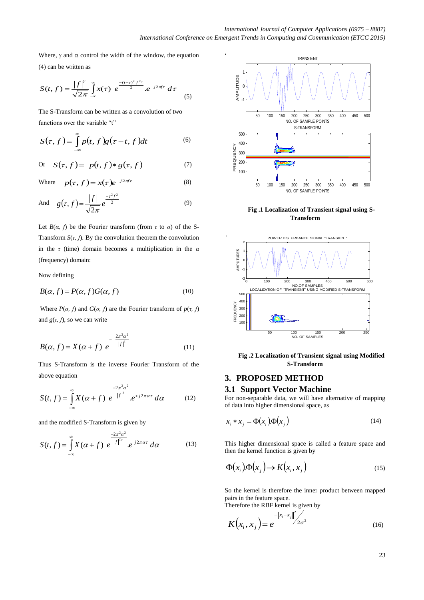Where,  $\gamma$  and  $\alpha$  control the width of the window, the equation (4) can be written as

$$
S(t,f) = \frac{|f|^{r}}{\sqrt{2\pi}} \int_{-\infty}^{\infty} x(\tau) e^{-\frac{-(t-\tau)^{2}f^{2\gamma}}{2}} e^{-j2\pi f\tau} d\tau
$$
 (5)

The S-Transform can be written as a convolution of two functions over the variable "t"

$$
S(\tau, f) = \int_{-\infty}^{\infty} p(t, f) g(\tau - t, f) dt
$$
 (6)

Or 
$$
S(\tau, f) = p(t, f) * g(\tau, f)
$$
 (7)

Where 
$$
p(\tau, f) = x(\tau)e^{-j2\pi f\tau}
$$
 (8)

And 
$$
g(\tau, f) = \frac{|f|}{\sqrt{2\pi}} e^{\frac{-\tau^2 f^2}{2}}
$$
 (9)

Let  $B(\alpha, f)$  be the Fourier transform (from  $\tau$  to  $\alpha$ ) of the S-Transform  $S(\tau, f)$ . By the convolution theorem the convolution in the *τ* (time) domain becomes a multiplication in the *α*  (frequency) domain:

Now defining

$$
B(\alpha, f) = P(\alpha, f)G(\alpha, f) \tag{10}
$$

Where  $P(\alpha, f)$  and  $G(\alpha, f)$  are the Fourier transform of  $p(\tau, f)$ and  $g(\tau, f)$ , so we can write

$$
B(\alpha, f) = X(\alpha + f) e^{-\frac{2\pi^2 \alpha^2}{|f|^2}}
$$
 (11)

Thus S-Transform is the inverse Fourier Transform of the above equation

$$
S(t,f) = \int_{-\infty}^{\infty} X(\alpha + f) e^{-\frac{2\pi^2 \alpha^2}{|f|^2}} . e^{+j2\pi \alpha \tau} d\alpha \qquad (12)
$$

and the modified S-Transform is given by

$$
S(t,f) = \int_{-\infty}^{\infty} X(\alpha + f) e^{-\frac{2\pi^2 \alpha^2}{|f|^{2\gamma}}} e^{-j2\pi \alpha \tau} d\alpha
$$
 (13)



**Fig .1 Localization of Transient signal using S-Transform**



**Fig .2 Localization of Transient signal using Modified S-Transform**

## **3. PROPOSED METHOD**

#### **3.1 Support Vector Machine**

For non-separable data, we will have alternative of mapping of data into higher dimensional space, as

$$
x_i * x_j = \Phi(x_i) \Phi(x_j)
$$
 (14)

This higher dimensional space is called a feature space and then the kernel function is given by

$$
\Phi(x_i)\Phi(x_j) \to K(x_i, x_j) \tag{15}
$$

So the kernel is therefore the inner product between mapped pairs in the feature space.

Therefore the RBF kernel is given by

$$
K(x_i, x_j) = e^{-\left\|x_i - x_j\right\|^2 / 2\sigma^2}
$$
 (16)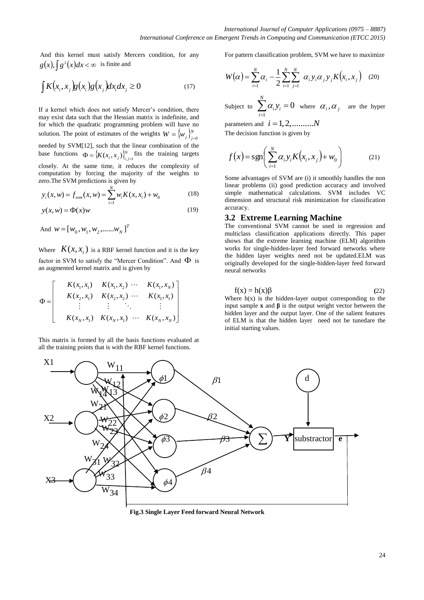And this kernel must satisfy Mercers condition, for any  $g(x)$ ,  $\int g^2(x)dx < \infty$  is finite and

$$
\int K(x_i, x_j)g(x_i)g(x_j)dx_idx_j \ge 0
$$
\n(17)

If a kernel which does not satisfy Mercer's condition, there may exist data such that the Hessian matrix is indefinite, and for which the quadratic programming problem will have no solution. The point of estimates of the weights  $W = \{w_i\}_{i=1}^N$  $W = \{W_j\}_{j=0}^N$ needed by SVM[12], such that the linear combination of the

base functions  $\Phi = \{K(x_i, x_i)\}\}^N$  $\Phi = \left\{ K(x_i, x_j) \right\}_{i,j=1}^N$  fits the training targets

closely. At the same time, it reduces the complexity of computation by forcing the majority of the weights to

zero. The SVM predictions is given by  
\n
$$
y_i(x, w) = f_{sym}(x, w) = \sum_{i=1}^{N} w_i K(x, x_i) + w_0
$$
\n(18)

$$
y(x, w) = \Phi(x)w
$$
 (19)

And  $W = [W_0, W_1, W_2, \dots, W_N]^T$ 

Where  $K(x, x_i)$  is a RBF kernel function and it is the key factor in SVM to satisfy the "Mercer Condition". And  $\Phi$  is

an augmented Kernel matrix and is given by  
\n
$$
\Phi = \begin{bmatrix}\nK(x_1, x_1) & K(x_1, x_2) & \cdots & K(x_1, x_N) \\
K(x_2, x_1) & K(x_2, x_2) & \cdots & K(x_1, x_1) \\
\vdots & \vdots & \ddots & \vdots \\
K(x_N, x_1) & K(x_N, x_1) & \cdots & K(x_N, x_N)\n\end{bmatrix}
$$

This matrix is formed by all the basis functions evaluated at all the training points that is with the RBF kernel functions.

For pattern classification problem, SVM we have to maximize

$$
W(\alpha) = \sum_{i=1}^{N} \alpha_i - \frac{1}{2} \sum_{i=1}^{N} \sum_{j=1}^{N} \alpha_i y_i \alpha_j y_j K(x_i, x_j)
$$
 (20)

Subject to 1 0 *N i i i*  $\alpha_i$ *y*  $\sum_{i=1}^n \alpha_i y_i = 0$  where  $\alpha_i, \alpha_j$  are the hyper

parameters and  $i = 1, 2, \dots, N$ 

The decision function is given by

$$
f(x) = \text{sgn}\left(\sum_{i=1}^{N} \alpha_i y_i K(x_i, x_j) + w_0\right) \tag{21}
$$

Some advantages of SVM are (i) it smoothly handles the non linear problems (ii) good prediction accuracy and involved simple mathematical calculations. SVM includes VC dimension and structural risk minimization for classification accuracy.

#### **3.2 Extreme Learning Machine**

The conventional SVM cannot be used in regression and multiclass classification applications directly. This paper shows that the extreme learning machine (ELM) algorithm works for single-hidden-layer feed forward networks where the hidden layer weights need not be updated.ELM was originally developed for the single-hidden-layer feed forward neural networks

$$
f(x) = h(x)\beta
$$
 (22)

Where  $h(x)$  is the hidden-layer output corresponding to the input sample **x** and **β** is the output weight vector between the hidden layer and the output layer. One of the salient features of ELM is that the hidden layer need not be tunedare the initial starting values.



**Fig.3 Single Layer Feed forward Neural Network**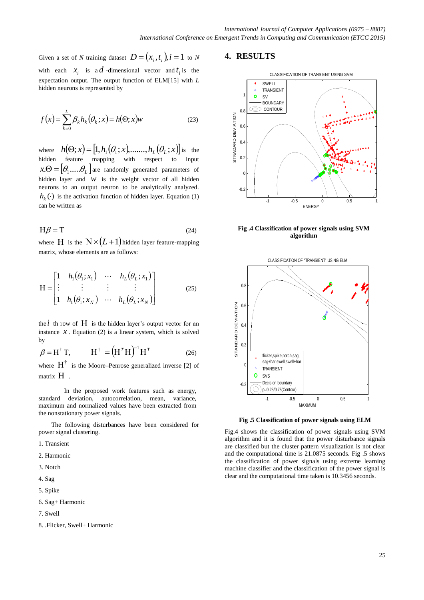Given a set of *N* training dataset  $D = (x_i, t_i)$ ,  $i = 1$  to *N* with each  $x_i$  is a  $d$ -dimensional vector and  $t_i$  is the expectation output. The output function of ELM[15] with *L*  hidden neurons is represented by

$$
f(x) = \sum_{k=0}^{L} \beta_k h_k(\theta_k; x) = h(\Theta; x)w
$$
 (23)

where  $h(\Theta; x) = [1, h_1(\theta_1; x), \dots, h_L(\theta_L; x)]$  is the hidden feature mapping with respect to input  $\mathbf{x}.\mathbf{\Theta} = [\theta_1.....\theta_L]$  are randomly generated parameters of hidden layer and  $w$  is the weight vector of all hidden neurons to an output neuron to be analytically analyzed.  $h_k(\cdot)$  is the activation function of hidden layer. Equation (1) can be written as

$$
H\beta = T \tag{24}
$$

where H is the  $N \times (L+1)$  hidden layer feature-mapping matrix, whose elements are as follows:

$$
H = \begin{bmatrix} 1 & h_1(\theta_1; x_1) & \cdots & h_L(\theta_L; x_1) \\ \vdots & \vdots & \vdots & \vdots \\ 1 & h_1(\theta_1; x_N) & \cdots & h_L(\theta_L; x_N) \end{bmatrix}
$$
(25)

the  $i$  th row of  $H$  is the hidden layer's output vector for an instance  $x$ . Equation (2) is a linear system, which is solved by

$$
\beta = H^{\dagger} T, \qquad H^{\dagger} = (H^T H)^{-1} H^T \qquad (26)
$$

where  $H^{\dagger}$  is the Moore–Penrose generalized inverse [2] of matrix H.

In the proposed work features such as energy, standard deviation, autocorrelation, mean, variance, maximum and normalized values have been extracted from the nonstationary power signals.

The following disturbances have been considered for power signal clustering.

- 1. Transient
- 2. Harmonic
- 3. Notch
- 4. Sag
- 5. Spike
- 6. Sag+ Harmonic
- 7. Swell
- 8. .Flicker, Swell+ Harmonic

#### **4. RESULTS**



**Fig .4 Classification of power signals using SVM algorithm**



**Fig .5 Classification of power signals using ELM**

Fig.4 shows the classification of power signals using SVM algorithm and it is found that the power disturbance signals are classified but the cluster pattern visualization is not clear and the computational time is 21.0875 seconds. Fig .5 shows the classification of power signals using extreme learning machine classifier and the classification of the power signal is clear and the computational time taken is 10.3456 seconds.